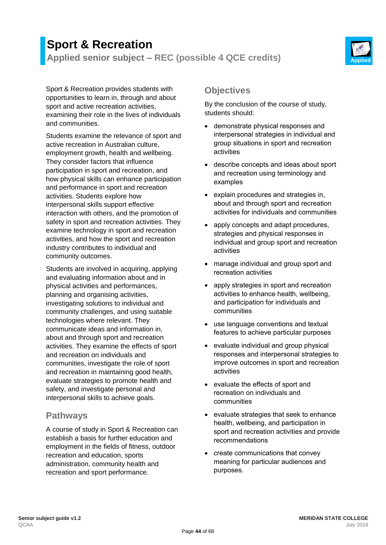# **Sport & Recreation Applied senior subject – REC (possible 4 QCE credits) Applied**



Sport & Recreation provides students with opportunities to learn in, through and about sport and active recreation activities, examining their role in the lives of individuals and communities.

Students examine the relevance of sport and active recreation in Australian culture, employment growth, health and wellbeing. They consider factors that influence participation in sport and recreation, and how physical skills can enhance participation and performance in sport and recreation activities. Students explore how interpersonal skills support effective interaction with others, and the promotion of safety in sport and recreation activities. They examine technology in sport and recreation activities, and how the sport and recreation industry contributes to individual and community outcomes.

Students are involved in acquiring, applying and evaluating information about and in physical activities and performances, planning and organising activities, investigating solutions to individual and community challenges, and using suitable technologies where relevant. They communicate ideas and information in, about and through sport and recreation activities. They examine the effects of sport and recreation on individuals and communities, investigate the role of sport and recreation in maintaining good health, evaluate strategies to promote health and safety, and investigate personal and interpersonal skills to achieve goals.

## **Pathways**

A course of study in Sport & Recreation can establish a basis for further education and employment in the fields of fitness, outdoor recreation and education, sports administration, community health and recreation and sport performance.

# **Objectives**

By the conclusion of the course of study, students should:

- demonstrate physical responses and interpersonal strategies in individual and group situations in sport and recreation activities
- describe concepts and ideas about sport and recreation using terminology and examples
- explain procedures and strategies in, about and through sport and recreation activities for individuals and communities
- apply concepts and adapt procedures, strategies and physical responses in individual and group sport and recreation activities
- manage individual and group sport and recreation activities
- apply strategies in sport and recreation activities to enhance health, wellbeing, and participation for individuals and communities
- use language conventions and textual features to achieve particular purposes
- evaluate individual and group physical responses and interpersonal strategies to improve outcomes in sport and recreation activities
- evaluate the effects of sport and recreation on individuals and communities
- evaluate strategies that seek to enhance health, wellbeing, and participation in sport and recreation activities and provide recommendations
- create communications that convey meaning for particular audiences and purposes.